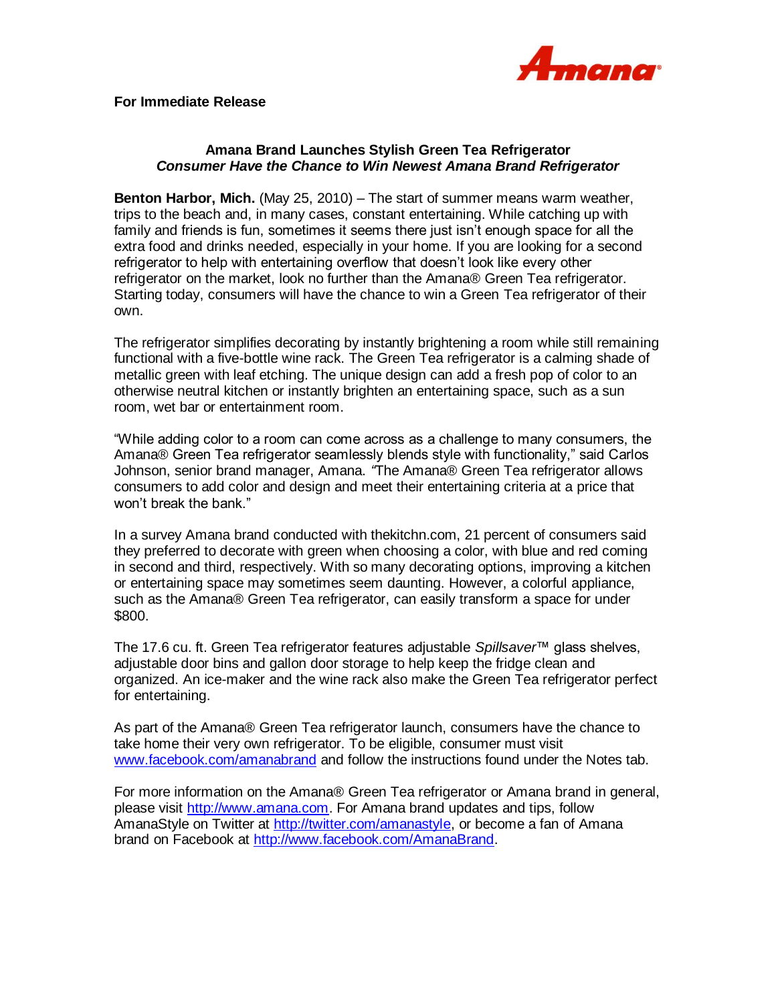

## **Amana Brand Launches Stylish Green Tea Refrigerator**  *Consumer Have the Chance to Win Newest Amana Brand Refrigerator*

**Benton Harbor, Mich.** (May 25, 2010) – The start of summer means warm weather, trips to the beach and, in many cases, constant entertaining. While catching up with family and friends is fun, sometimes it seems there just isn't enough space for all the extra food and drinks needed, especially in your home. If you are looking for a second refrigerator to help with entertaining overflow that doesn't look like every other refrigerator on the market, look no further than the Amana® Green Tea refrigerator. Starting today, consumers will have the chance to win a Green Tea refrigerator of their own.

The refrigerator simplifies decorating by instantly brightening a room while still remaining functional with a five-bottle wine rack. The Green Tea refrigerator is a calming shade of metallic green with leaf etching. The unique design can add a fresh pop of color to an otherwise neutral kitchen or instantly brighten an entertaining space, such as a sun room, wet bar or entertainment room.

"While adding color to a room can come across as a challenge to many consumers, the Amana® Green Tea refrigerator seamlessly blends style with functionality," said Carlos Johnson, senior brand manager, Amana. *"*The Amana® Green Tea refrigerator allows consumers to add color and design and meet their entertaining criteria at a price that won't break the bank."

In a survey Amana brand conducted with thekitchn.com, 21 percent of consumers said they preferred to decorate with green when choosing a color, with blue and red coming in second and third, respectively. With so many decorating options, improving a kitchen or entertaining space may sometimes seem daunting. However, a colorful appliance, such as the Amana® Green Tea refrigerator, can easily transform a space for under \$800.

The 17.6 cu. ft. Green Tea refrigerator features adjustable *Spillsaver*™ glass shelves, adjustable door bins and gallon door storage to help keep the fridge clean and organized. An ice-maker and the wine rack also make the Green Tea refrigerator perfect for entertaining.

As part of the Amana® Green Tea refrigerator launch, consumers have the chance to take home their very own refrigerator. To be eligible, consumer must visit [www.facebook.com/amanabrand](http://www.facebook.com/amanabrand) and follow the instructions found under the Notes tab.

For more information on the Amana® Green Tea refrigerator or Amana brand in general, please visit [http://www.amana.com.](http://www.amana.com/) For Amana brand updates and tips, follow AmanaStyle on Twitter at [http://twitter.com/amanastyle,](http://twitter.com/amanastyle) or become a fan of Amana brand on Facebook at [http://www.facebook.com/AmanaBrand.](http://www.facebook.com/AmanaBrand)